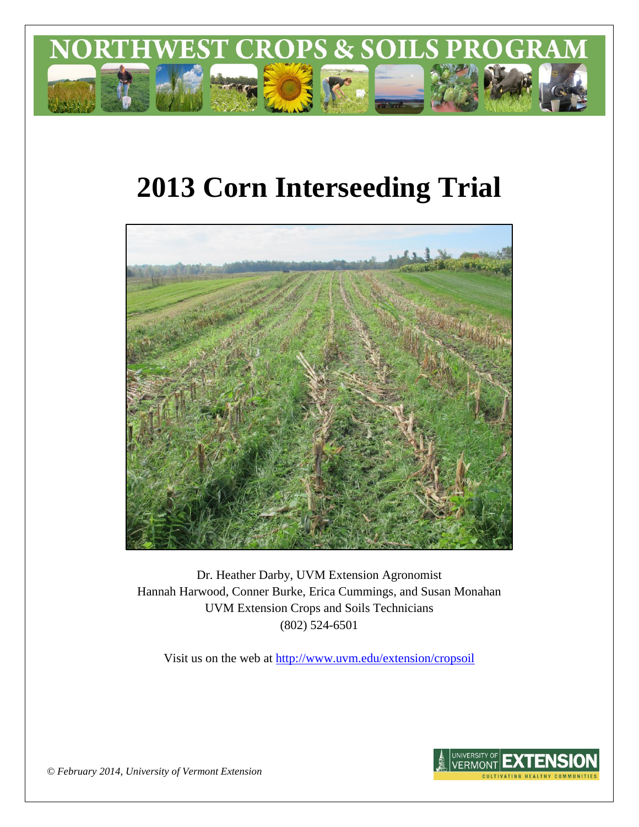

# **2013 Corn Interseeding Trial**



Dr. Heather Darby, UVM Extension Agronomist Hannah Harwood, Conner Burke, Erica Cummings, and Susan Monahan UVM Extension Crops and Soils Technicians (802) 524-6501

Visit us on the web at <http://www.uvm.edu/extension/cropsoil>



*© February 2014, University of Vermont Extension*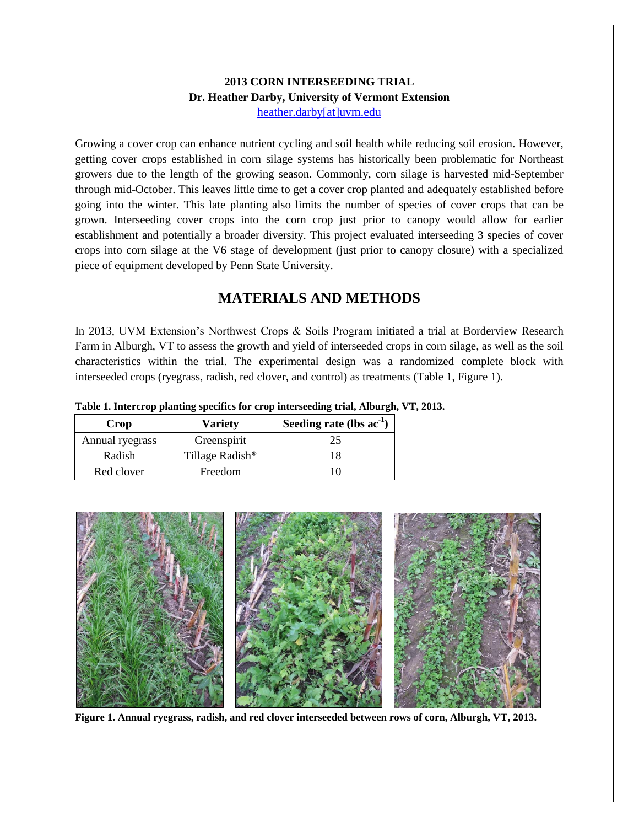#### **2013 CORN INTERSEEDING TRIAL Dr. Heather Darby, University of Vermont Extension** [heather.darby\[at\]uvm.edu](mailto:heather.darby@uvm.edu?subject=2013%20Corn%20Interseeding%20Trial)

Growing a cover crop can enhance nutrient cycling and soil health while reducing soil erosion. However, getting cover crops established in corn silage systems has historically been problematic for Northeast growers due to the length of the growing season. Commonly, corn silage is harvested mid-September through mid-October. This leaves little time to get a cover crop planted and adequately established before going into the winter. This late planting also limits the number of species of cover crops that can be grown. Interseeding cover crops into the corn crop just prior to canopy would allow for earlier establishment and potentially a broader diversity. This project evaluated interseeding 3 species of cover crops into corn silage at the V6 stage of development (just prior to canopy closure) with a specialized piece of equipment developed by Penn State University.

## **MATERIALS AND METHODS**

In 2013, UVM Extension's Northwest Crops & Soils Program initiated a trial at Borderview Research Farm in Alburgh, VT to assess the growth and yield of interseeded crops in corn silage, as well as the soil characteristics within the trial. The experimental design was a randomized complete block with interseeded crops (ryegrass, radish, red clover, and control) as treatments (Table 1, Figure 1).

**Table 1. Intercrop planting specifics for crop interseeding trial, Alburgh, VT, 2013.**

| <b>Crop</b>     | <b>Variety</b>              | Seeding rate (lbs $ac^{-1}$ ) |
|-----------------|-----------------------------|-------------------------------|
| Annual ryegrass | Greenspirit                 | 25                            |
| Radish          | Tillage Radish <sup>®</sup> | 18                            |
| Red clover      | Freedom                     | 10                            |



**Figure 1. Annual ryegrass, radish, and red clover interseeded between rows of corn, Alburgh, VT, 2013.**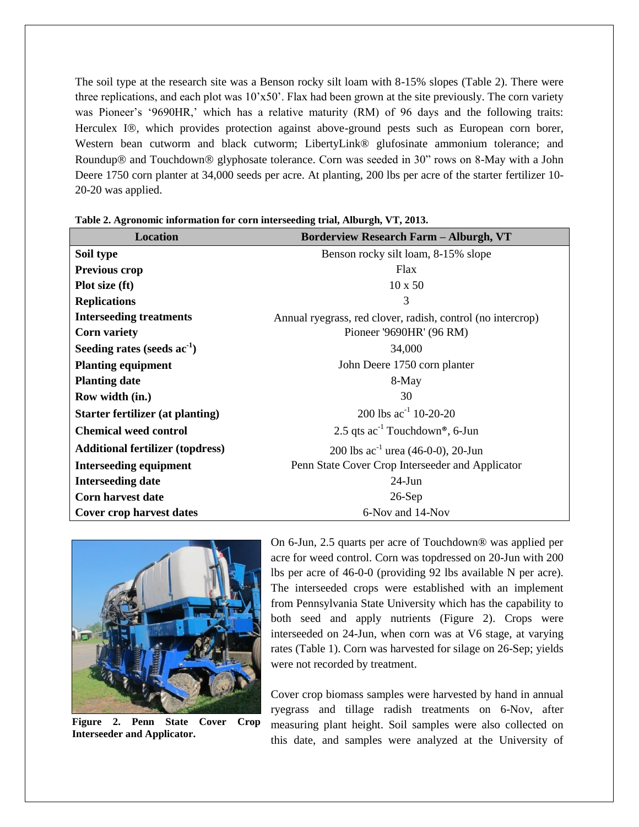The soil type at the research site was a Benson rocky silt loam with 8-15% slopes (Table 2). There were three replications, and each plot was 10'x50'. Flax had been grown at the site previously. The corn variety was Pioneer's '9690HR,' which has a relative maturity (RM) of 96 days and the following traits: Herculex I®, which provides protection against above-ground pests such as European corn borer, Western bean cutworm and black cutworm; LibertyLink® glufosinate ammonium tolerance; and Roundup<sup>®</sup> and Touchdown<sup>®</sup> glyphosate tolerance. Corn was seeded in 30" rows on 8-May with a John Deere 1750 corn planter at 34,000 seeds per acre. At planting, 200 lbs per acre of the starter fertilizer 10- 20-20 was applied.

| <b>Location</b>                         | <b>Borderview Research Farm - Alburgh, VT</b>               |  |  |  |  |
|-----------------------------------------|-------------------------------------------------------------|--|--|--|--|
| Soil type                               | Benson rocky silt loam, 8-15% slope                         |  |  |  |  |
| <b>Previous crop</b>                    | Flax                                                        |  |  |  |  |
| Plot size (ft)                          | $10 \times 50$                                              |  |  |  |  |
| <b>Replications</b>                     | 3                                                           |  |  |  |  |
| <b>Interseeding treatments</b>          | Annual ryegrass, red clover, radish, control (no intercrop) |  |  |  |  |
| <b>Corn variety</b>                     | Pioneer '9690HR' (96 RM)                                    |  |  |  |  |
| Seeding rates (seeds ac <sup>-1</sup> ) | 34,000                                                      |  |  |  |  |
| <b>Planting equipment</b>               | John Deere 1750 corn planter                                |  |  |  |  |
| <b>Planting date</b>                    | 8-May                                                       |  |  |  |  |
| Row width (in.)                         | 30                                                          |  |  |  |  |
| Starter fertilizer (at planting)        | 200 lbs $ac^{-1}$ 10-20-20                                  |  |  |  |  |
| <b>Chemical weed control</b>            | 2.5 qts $ac^{-1}$ Touchdown <sup>®</sup> , 6-Jun            |  |  |  |  |
| <b>Additional fertilizer (topdress)</b> | 200 lbs $ac^{-1}$ urea (46-0-0), 20-Jun                     |  |  |  |  |
| <b>Interseeding equipment</b>           | Penn State Cover Crop Interseeder and Applicator            |  |  |  |  |
| <b>Interseeding date</b>                | $24$ -Jun                                                   |  |  |  |  |
| <b>Corn harvest date</b>                | $26-Sep$                                                    |  |  |  |  |
| <b>Cover crop harvest dates</b>         | 6-Nov and 14-Nov                                            |  |  |  |  |

**Table 2. Agronomic information for corn interseeding trial, Alburgh, VT, 2013.**



**Figure 2. Penn State Cover Crop Interseeder and Applicator.**

On 6-Jun, 2.5 quarts per acre of Touchdown® was applied per acre for weed control. Corn was topdressed on 20-Jun with 200 lbs per acre of 46-0-0 (providing 92 lbs available N per acre). The interseeded crops were established with an implement from Pennsylvania State University which has the capability to both seed and apply nutrients (Figure 2). Crops were interseeded on 24-Jun, when corn was at V6 stage, at varying rates (Table 1). Corn was harvested for silage on 26-Sep; yields were not recorded by treatment.

Cover crop biomass samples were harvested by hand in annual ryegrass and tillage radish treatments on 6-Nov, after measuring plant height. Soil samples were also collected on this date, and samples were analyzed at the University of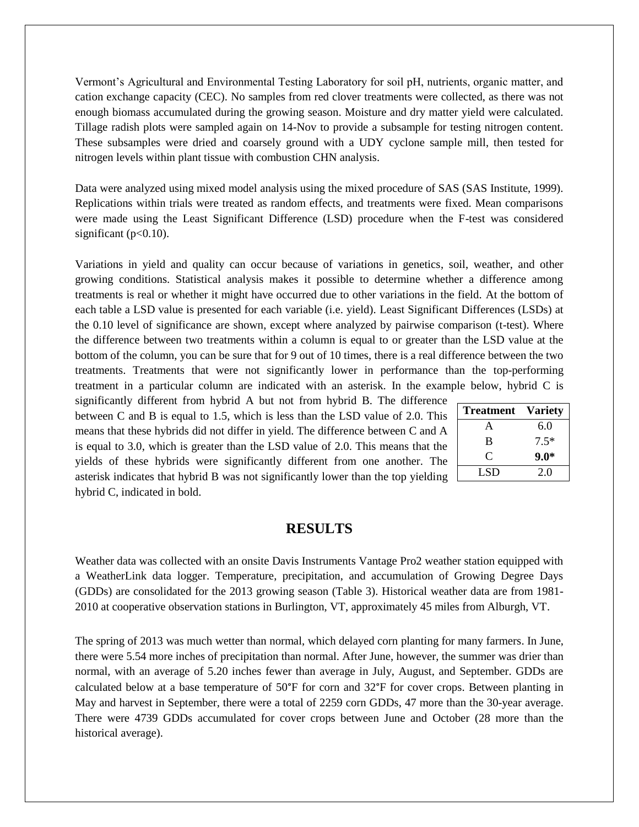Vermont's Agricultural and Environmental Testing Laboratory for soil pH, nutrients, organic matter, and cation exchange capacity (CEC). No samples from red clover treatments were collected, as there was not enough biomass accumulated during the growing season. Moisture and dry matter yield were calculated. Tillage radish plots were sampled again on 14-Nov to provide a subsample for testing nitrogen content. These subsamples were dried and coarsely ground with a UDY cyclone sample mill, then tested for nitrogen levels within plant tissue with combustion CHN analysis.

Data were analyzed using mixed model analysis using the mixed procedure of SAS (SAS Institute, 1999). Replications within trials were treated as random effects, and treatments were fixed. Mean comparisons were made using the Least Significant Difference (LSD) procedure when the F-test was considered significant ( $p<0.10$ ).

Variations in yield and quality can occur because of variations in genetics, soil, weather, and other growing conditions. Statistical analysis makes it possible to determine whether a difference among treatments is real or whether it might have occurred due to other variations in the field. At the bottom of each table a LSD value is presented for each variable (i.e. yield). Least Significant Differences (LSDs) at the 0.10 level of significance are shown, except where analyzed by pairwise comparison (t-test). Where the difference between two treatments within a column is equal to or greater than the LSD value at the bottom of the column, you can be sure that for 9 out of 10 times, there is a real difference between the two treatments. Treatments that were not significantly lower in performance than the top-performing treatment in a particular column are indicated with an asterisk. In the example below, hybrid C is

significantly different from hybrid A but not from hybrid B. The difference between C and B is equal to 1.5, which is less than the LSD value of 2.0. This means that these hybrids did not differ in yield. The difference between C and A is equal to 3.0, which is greater than the LSD value of 2.0. This means that the yields of these hybrids were significantly different from one another. The asterisk indicates that hybrid B was not significantly lower than the top yielding hybrid C, indicated in bold.

| <b>Treatment</b> | <b>Variety</b> |
|------------------|----------------|
| А                | 6.0            |
| B                | $7.5*$         |
| ( `              | $9.0*$         |
| LSD              | 20             |

#### **RESULTS**

Weather data was collected with an onsite Davis Instruments Vantage Pro2 weather station equipped with a WeatherLink data logger. Temperature, precipitation, and accumulation of Growing Degree Days (GDDs) are consolidated for the 2013 growing season (Table 3). Historical weather data are from 1981- 2010 at cooperative observation stations in Burlington, VT, approximately 45 miles from Alburgh, VT.

The spring of 2013 was much wetter than normal, which delayed corn planting for many farmers. In June, there were 5.54 more inches of precipitation than normal. After June, however, the summer was drier than normal, with an average of 5.20 inches fewer than average in July, August, and September. GDDs are calculated below at a base temperature of 50°F for corn and 32°F for cover crops. Between planting in May and harvest in September, there were a total of 2259 corn GDDs, 47 more than the 30-year average. There were 4739 GDDs accumulated for cover crops between June and October (28 more than the historical average).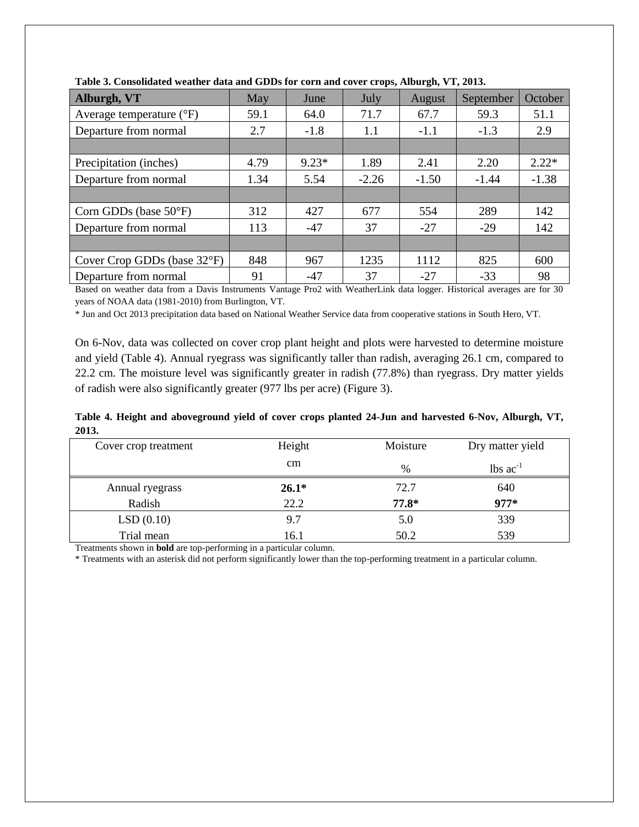| Alburgh, VT                       | May  | June    | July    | August  | September | October |  |  |
|-----------------------------------|------|---------|---------|---------|-----------|---------|--|--|
| Average temperature $(^{\circ}F)$ | 59.1 | 64.0    | 71.7    | 67.7    | 59.3      | 51.1    |  |  |
| Departure from normal             | 2.7  | $-1.8$  | 1.1     | $-1.1$  | $-1.3$    | 2.9     |  |  |
|                                   |      |         |         |         |           |         |  |  |
| Precipitation (inches)            | 4.79 | $9.23*$ | 1.89    | 2.41    | 2.20      | $2.22*$ |  |  |
| Departure from normal             | 1.34 | 5.54    | $-2.26$ | $-1.50$ | $-1.44$   | $-1.38$ |  |  |
|                                   |      |         |         |         |           |         |  |  |
| Corn GDDs (base 50°F)             | 312  | 427     | 677     | 554     | 289       | 142     |  |  |
| Departure from normal             | 113  | $-47$   | 37      | $-27$   | $-29$     | 142     |  |  |
|                                   |      |         |         |         |           |         |  |  |
| Cover Crop GDDs (base 32°F)       | 848  | 967     | 1235    | 1112    | 825       | 600     |  |  |
| Departure from normal             | 91   | $-47$   | 37      | $-27$   | $-33$     | 98      |  |  |

**Table 3. Consolidated weather data and GDDs for corn and cover crops, Alburgh, VT, 2013.**

Based on weather data from a Davis Instruments Vantage Pro2 with WeatherLink data logger. Historical averages are for 30 years of NOAA data (1981-2010) from Burlington, VT.

\* Jun and Oct 2013 precipitation data based on National Weather Service data from cooperative stations in South Hero, VT.

On 6-Nov, data was collected on cover crop plant height and plots were harvested to determine moisture and yield (Table 4). Annual ryegrass was significantly taller than radish, averaging 26.1 cm, compared to 22.2 cm. The moisture level was significantly greater in radish (77.8%) than ryegrass. Dry matter yields of radish were also significantly greater (977 lbs per acre) (Figure 3).

**Table 4. Height and aboveground yield of cover crops planted 24-Jun and harvested 6-Nov, Alburgh, VT, 2013.**

| Cover crop treatment | Height        | Moisture | Dry matter yield              |  |
|----------------------|---------------|----------|-------------------------------|--|
|                      | <sub>cm</sub> | %        | $\text{lbs}$ ac <sup>-1</sup> |  |
| Annual ryegrass      | $26.1*$       | 72.7     | 640                           |  |
| Radish               | 22.2          | $77.8*$  | $977*$                        |  |
| LSD(0.10)            | 9.7           | 5.0      | 339                           |  |
| Trial mean           | 16.1          | 50.2     | 539                           |  |

Treatments shown in **bold** are top-performing in a particular column.

\* Treatments with an asterisk did not perform significantly lower than the top-performing treatment in a particular column.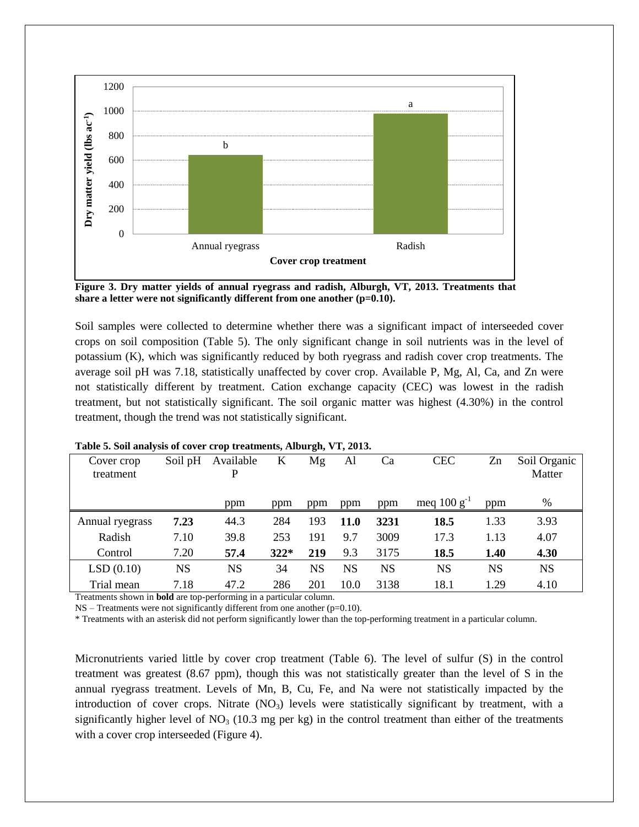

**Figure 3. Dry matter yields of annual ryegrass and radish, Alburgh, VT, 2013. Treatments that share a letter were not significantly different from one another (p=0.10).**

Soil samples were collected to determine whether there was a significant impact of interseeded cover crops on soil composition (Table 5). The only significant change in soil nutrients was in the level of potassium (K), which was significantly reduced by both ryegrass and radish cover crop treatments. The average soil pH was 7.18, statistically unaffected by cover crop. Available P, Mg, Al, Ca, and Zn were not statistically different by treatment. Cation exchange capacity (CEC) was lowest in the radish treatment, but not statistically significant. The soil organic matter was highest (4.30%) in the control treatment, though the trend was not statistically significant.

| Cover crop<br>treatment | Soil pH | Available | K      | Mg        | Al          | Ca        | <b>CEC</b>       | Zn   | Soil Organic<br>Matter |
|-------------------------|---------|-----------|--------|-----------|-------------|-----------|------------------|------|------------------------|
|                         |         | ppm       | ppm    | ppm       | ppm         | ppm       | meq $100 g^{-1}$ | ppm  | %                      |
| Annual ryegrass         | 7.23    | 44.3      | 284    | 193       | <b>11.0</b> | 3231      | 18.5             | 1.33 | 3.93                   |
| Radish                  | 7.10    | 39.8      | 253    | 191       | 9.7         | 3009      | 17.3             | 1.13 | 4.07                   |
| Control                 | 7.20    | 57.4      | $322*$ | 219       | 9.3         | 3175      | 18.5             | 1.40 | 4.30                   |
| LSD(0.10)               | NS      | NS        | 34     | <b>NS</b> | NS          | <b>NS</b> | NS               | NS   | <b>NS</b>              |
| Trial mean              | 7.18    | 47.2      | 286    | 201       | 10.0        | 3138      | 18.1             | 1.29 | 4.10                   |

#### **Table 5. Soil analysis of cover crop treatments, Alburgh, VT, 2013.**

Treatments shown in **bold** are top-performing in a particular column.

NS – Treatments were not significantly different from one another (p=0.10).

\* Treatments with an asterisk did not perform significantly lower than the top-performing treatment in a particular column.

Micronutrients varied little by cover crop treatment (Table 6). The level of sulfur (S) in the control treatment was greatest (8.67 ppm), though this was not statistically greater than the level of S in the annual ryegrass treatment. Levels of Mn, B, Cu, Fe, and Na were not statistically impacted by the introduction of cover crops. Nitrate  $(NO<sub>3</sub>)$  levels were statistically significant by treatment, with a significantly higher level of  $NO<sub>3</sub>$  (10.3 mg per kg) in the control treatment than either of the treatments with a cover crop interseeded (Figure 4).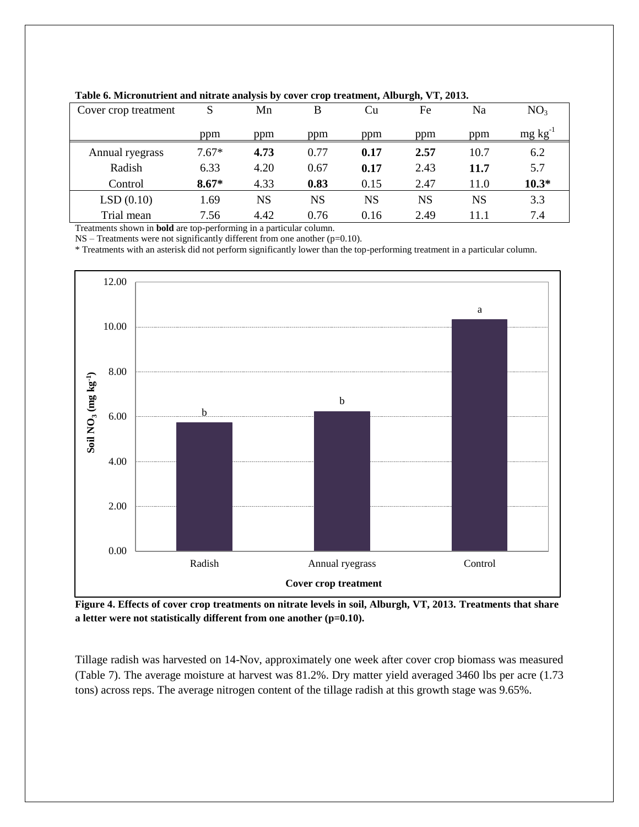| --- <i>--</i> - -    |         |      |      |           |      |      |                 |
|----------------------|---------|------|------|-----------|------|------|-----------------|
| Cover crop treatment | S       | Mn   | В    | Cu        | Fe   | Na   | NO <sub>3</sub> |
|                      | ppm     | ppm  | ppm  | ppm       | ppm  | ppm  | mg kg           |
| Annual ryegrass      | $7.67*$ | 4.73 | 0.77 | 0.17      | 2.57 | 10.7 | 6.2             |
| Radish               | 6.33    | 4.20 | 0.67 | 0.17      | 2.43 | 11.7 | 5.7             |
| Control              | $8.67*$ | 4.33 | 0.83 | 0.15      | 2.47 | 11.0 | $10.3*$         |
| LSD(0.10)            | 1.69    | NS   | NS   | <b>NS</b> | NS   | NS   | 3.3             |
| Trial mean           | 7.56    | 4.42 | 0.76 | 0.16      | 2.49 | 11.1 | 7.4             |

**Table 6. Micronutrient and nitrate analysis by cover crop treatment, Alburgh, VT, 2013.**

Treatments shown in **bold** are top-performing in a particular column.

NS – Treatments were not significantly different from one another (p=0.10).

\* Treatments with an asterisk did not perform significantly lower than the top-performing treatment in a particular column.



**Figure 4. Effects of cover crop treatments on nitrate levels in soil, Alburgh, VT, 2013. Treatments that share a letter were not statistically different from one another (p=0.10).**

Tillage radish was harvested on 14-Nov, approximately one week after cover crop biomass was measured (Table 7). The average moisture at harvest was 81.2%. Dry matter yield averaged 3460 lbs per acre (1.73 tons) across reps. The average nitrogen content of the tillage radish at this growth stage was 9.65%.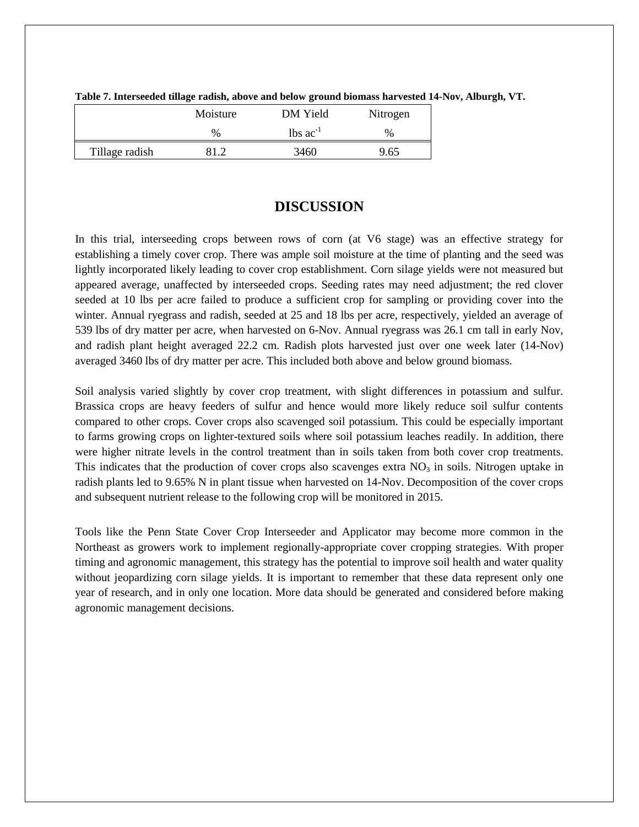|                | Moisture | DM Yield                      | Nitrogen |
|----------------|----------|-------------------------------|----------|
|                | $\%$     | $\text{lbs}$ ac <sup>-1</sup> | $\%$     |
| Tillage radish | 81 J     | 3460                          | 9.65     |

**Table 7. Interseeded tillage radish, above and below ground biomass harvested 14-Nov, Alburgh, VT.**

### **DISCUSSION**

In this trial, interseeding crops between rows of corn (at V6 stage) was an effective strategy for establishing a timely cover crop. There was ample soil moisture at the time of planting and the seed was lightly incorporated likely leading to cover crop establishment. Corn silage yields were not measured but appeared average, unaffected by interseeded crops. Seeding rates may need adjustment; the red clover seeded at 10 lbs per acre failed to produce a sufficient crop for sampling or providing cover into the winter. Annual ryegrass and radish, seeded at 25 and 18 lbs per acre, respectively, yielded an average of 539 lbs of dry matter per acre, when harvested on 6-Nov. Annual ryegrass was 26.1 cm tall in early Nov, and radish plant height averaged 22.2 cm. Radish plots harvested just over one week later (14-Nov) averaged 3460 lbs of dry matter per acre. This included both above and below ground biomass.

Soil analysis varied slightly by cover crop treatment, with slight differences in potassium and sulfur. Brassica crops are heavy feeders of sulfur and hence would more likely reduce soil sulfur contents compared to other crops. Cover crops also scavenged soil potassium. This could be especially important to farms growing crops on lighter-textured soils where soil potassium leaches readily. In addition, there were higher nitrate levels in the control treatment than in soils taken from both cover crop treatments. This indicates that the production of cover crops also scavenges extra  $NO<sub>3</sub>$  in soils. Nitrogen uptake in radish plants led to 9.65% N in plant tissue when harvested on 14-Nov. Decomposition of the cover crops and subsequent nutrient release to the following crop will be monitored in 2015.

Tools like the Penn State Cover Crop Interseeder and Applicator may become more common in the Northeast as growers work to implement regionally-appropriate cover cropping strategies. With proper timing and agronomic management, this strategy has the potential to improve soil health and water quality without jeopardizing corn silage yields. It is important to remember that these data represent only one year of research, and in only one location. More data should be generated and considered before making agronomic management decisions.